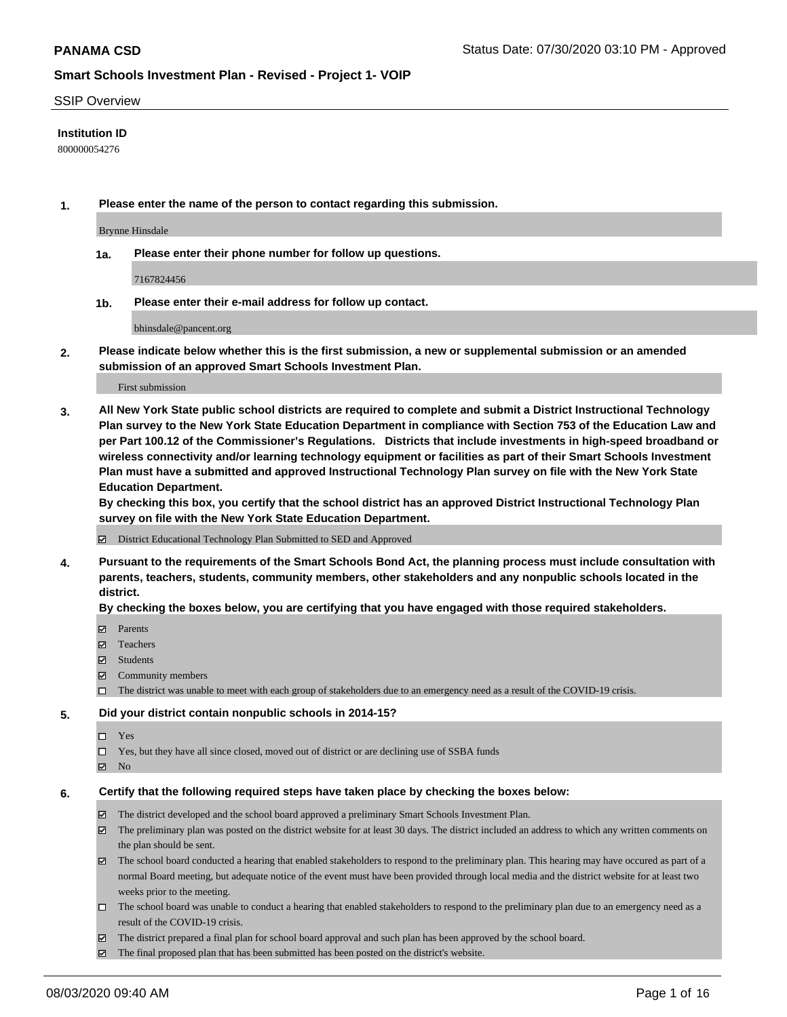### SSIP Overview

## **Institution ID**

800000054276

**1. Please enter the name of the person to contact regarding this submission.**

Brynne Hinsdale

**1a. Please enter their phone number for follow up questions.**

7167824456

**1b. Please enter their e-mail address for follow up contact.**

bhinsdale@pancent.org

**2. Please indicate below whether this is the first submission, a new or supplemental submission or an amended submission of an approved Smart Schools Investment Plan.**

### First submission

**3. All New York State public school districts are required to complete and submit a District Instructional Technology Plan survey to the New York State Education Department in compliance with Section 753 of the Education Law and per Part 100.12 of the Commissioner's Regulations. Districts that include investments in high-speed broadband or wireless connectivity and/or learning technology equipment or facilities as part of their Smart Schools Investment Plan must have a submitted and approved Instructional Technology Plan survey on file with the New York State Education Department.** 

**By checking this box, you certify that the school district has an approved District Instructional Technology Plan survey on file with the New York State Education Department.**

District Educational Technology Plan Submitted to SED and Approved

**4. Pursuant to the requirements of the Smart Schools Bond Act, the planning process must include consultation with parents, teachers, students, community members, other stakeholders and any nonpublic schools located in the district.** 

### **By checking the boxes below, you are certifying that you have engaged with those required stakeholders.**

- **□** Parents
- Teachers
- Students
- $\boxtimes$  Community members
- The district was unable to meet with each group of stakeholders due to an emergency need as a result of the COVID-19 crisis.

### **5. Did your district contain nonpublic schools in 2014-15?**

- $\neg$  Yes
- Yes, but they have all since closed, moved out of district or are declining use of SSBA funds
- **Z** No

### **6. Certify that the following required steps have taken place by checking the boxes below:**

- The district developed and the school board approved a preliminary Smart Schools Investment Plan.
- $\boxtimes$  The preliminary plan was posted on the district website for at least 30 days. The district included an address to which any written comments on the plan should be sent.
- The school board conducted a hearing that enabled stakeholders to respond to the preliminary plan. This hearing may have occured as part of a normal Board meeting, but adequate notice of the event must have been provided through local media and the district website for at least two weeks prior to the meeting.
- The school board was unable to conduct a hearing that enabled stakeholders to respond to the preliminary plan due to an emergency need as a result of the COVID-19 crisis.
- The district prepared a final plan for school board approval and such plan has been approved by the school board.
- $\boxtimes$  The final proposed plan that has been submitted has been posted on the district's website.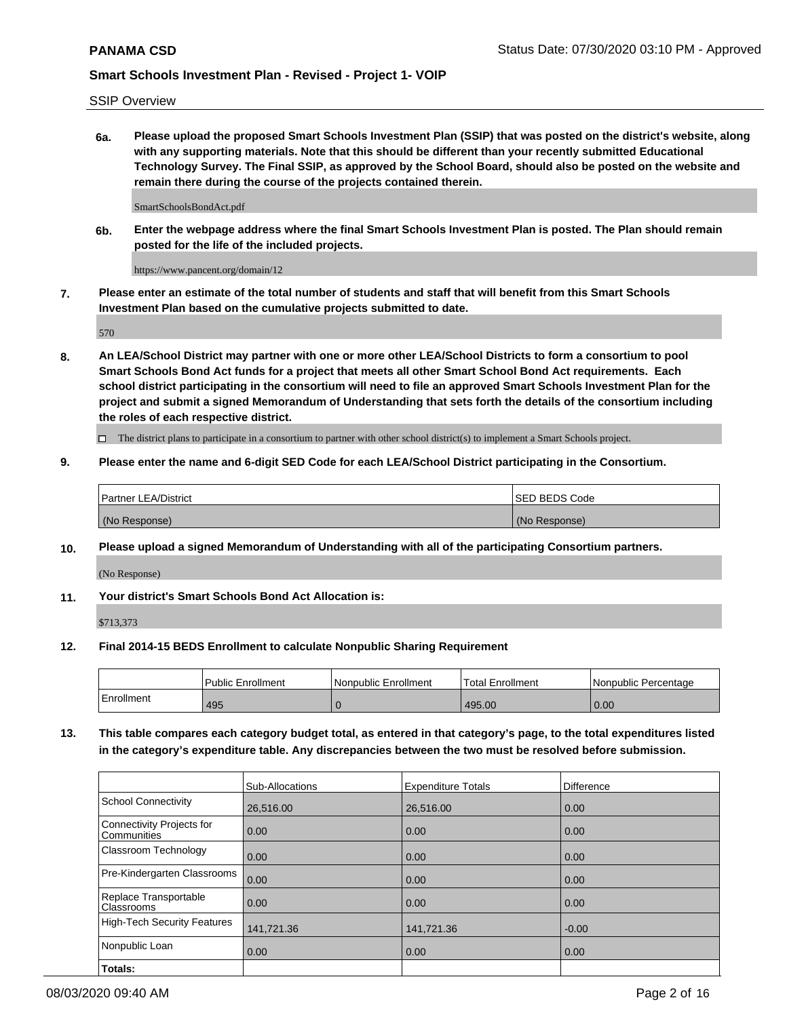SSIP Overview

**6a. Please upload the proposed Smart Schools Investment Plan (SSIP) that was posted on the district's website, along with any supporting materials. Note that this should be different than your recently submitted Educational Technology Survey. The Final SSIP, as approved by the School Board, should also be posted on the website and remain there during the course of the projects contained therein.**

SmartSchoolsBondAct.pdf

**6b. Enter the webpage address where the final Smart Schools Investment Plan is posted. The Plan should remain posted for the life of the included projects.**

https://www.pancent.org/domain/12

**7. Please enter an estimate of the total number of students and staff that will benefit from this Smart Schools Investment Plan based on the cumulative projects submitted to date.**

570

**8. An LEA/School District may partner with one or more other LEA/School Districts to form a consortium to pool Smart Schools Bond Act funds for a project that meets all other Smart School Bond Act requirements. Each school district participating in the consortium will need to file an approved Smart Schools Investment Plan for the project and submit a signed Memorandum of Understanding that sets forth the details of the consortium including the roles of each respective district.**

 $\Box$  The district plans to participate in a consortium to partner with other school district(s) to implement a Smart Schools project.

## **9. Please enter the name and 6-digit SED Code for each LEA/School District participating in the Consortium.**

| <b>Partner LEA/District</b> | ISED BEDS Code |
|-----------------------------|----------------|
| (No Response)               | (No Response)  |

## **10. Please upload a signed Memorandum of Understanding with all of the participating Consortium partners.**

(No Response)

**11. Your district's Smart Schools Bond Act Allocation is:**

\$713,373

### **12. Final 2014-15 BEDS Enrollment to calculate Nonpublic Sharing Requirement**

|            | <b>Public Enrollment</b> | Nonpublic Enrollment | Total Enrollment | l Nonpublic Percentage |
|------------|--------------------------|----------------------|------------------|------------------------|
| Enrollment | 495                      |                      | 495.00           | 0.00                   |

**13. This table compares each category budget total, as entered in that category's page, to the total expenditures listed in the category's expenditure table. Any discrepancies between the two must be resolved before submission.**

|                                          | Sub-Allocations | <b>Expenditure Totals</b> | Difference |
|------------------------------------------|-----------------|---------------------------|------------|
| <b>School Connectivity</b>               | 26,516.00       | 26,516.00                 | 0.00       |
| Connectivity Projects for<br>Communities | 0.00            | 0.00                      | 0.00       |
| Classroom Technology                     | 0.00            | 0.00                      | 0.00       |
| Pre-Kindergarten Classrooms              | 0.00            | 0.00                      | 0.00       |
| Replace Transportable<br>Classrooms      | 0.00            | 0.00                      | 0.00       |
| <b>High-Tech Security Features</b>       | 141,721.36      | 141,721.36                | $-0.00$    |
| Nonpublic Loan                           | 0.00            | 0.00                      | 0.00       |
| Totals:                                  |                 |                           |            |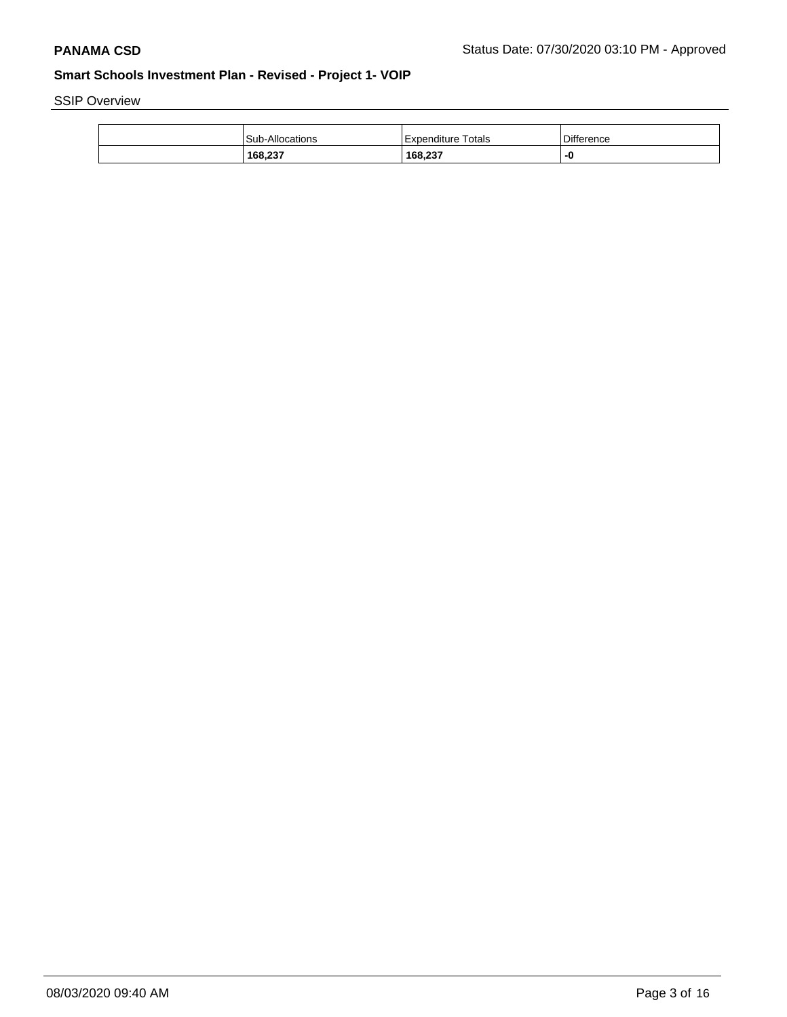SSIP Overview

| 168,237                | 168,237            |            |
|------------------------|--------------------|------------|
| <b>Sub-Allocations</b> | Expenditure Totals | Difference |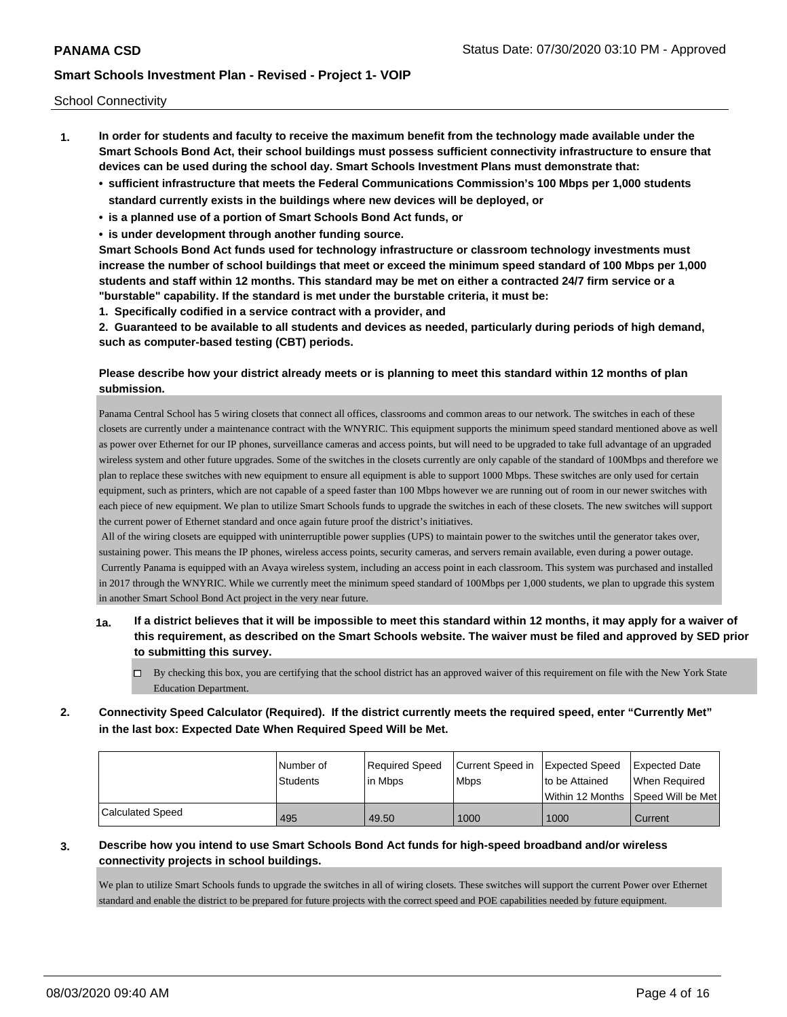School Connectivity

- **1. In order for students and faculty to receive the maximum benefit from the technology made available under the Smart Schools Bond Act, their school buildings must possess sufficient connectivity infrastructure to ensure that devices can be used during the school day. Smart Schools Investment Plans must demonstrate that:**
	- **• sufficient infrastructure that meets the Federal Communications Commission's 100 Mbps per 1,000 students standard currently exists in the buildings where new devices will be deployed, or**
	- **• is a planned use of a portion of Smart Schools Bond Act funds, or**
	- **• is under development through another funding source.**

**Smart Schools Bond Act funds used for technology infrastructure or classroom technology investments must increase the number of school buildings that meet or exceed the minimum speed standard of 100 Mbps per 1,000 students and staff within 12 months. This standard may be met on either a contracted 24/7 firm service or a "burstable" capability. If the standard is met under the burstable criteria, it must be:**

**1. Specifically codified in a service contract with a provider, and**

**2. Guaranteed to be available to all students and devices as needed, particularly during periods of high demand, such as computer-based testing (CBT) periods.**

## **Please describe how your district already meets or is planning to meet this standard within 12 months of plan submission.**

Panama Central School has 5 wiring closets that connect all offices, classrooms and common areas to our network. The switches in each of these closets are currently under a maintenance contract with the WNYRIC. This equipment supports the minimum speed standard mentioned above as well as power over Ethernet for our IP phones, surveillance cameras and access points, but will need to be upgraded to take full advantage of an upgraded wireless system and other future upgrades. Some of the switches in the closets currently are only capable of the standard of 100Mbps and therefore we plan to replace these switches with new equipment to ensure all equipment is able to support 1000 Mbps. These switches are only used for certain equipment, such as printers, which are not capable of a speed faster than 100 Mbps however we are running out of room in our newer switches with each piece of new equipment. We plan to utilize Smart Schools funds to upgrade the switches in each of these closets. The new switches will support the current power of Ethernet standard and once again future proof the district's initiatives.

 All of the wiring closets are equipped with uninterruptible power supplies (UPS) to maintain power to the switches until the generator takes over, sustaining power. This means the IP phones, wireless access points, security cameras, and servers remain available, even during a power outage. Currently Panama is equipped with an Avaya wireless system, including an access point in each classroom. This system was purchased and installed in 2017 through the WNYRIC. While we currently meet the minimum speed standard of 100Mbps per 1,000 students, we plan to upgrade this system in another Smart School Bond Act project in the very near future.

- **1a. If a district believes that it will be impossible to meet this standard within 12 months, it may apply for a waiver of this requirement, as described on the Smart Schools website. The waiver must be filed and approved by SED prior to submitting this survey.**
	- $\Box$  By checking this box, you are certifying that the school district has an approved waiver of this requirement on file with the New York State Education Department.
- **2. Connectivity Speed Calculator (Required). If the district currently meets the required speed, enter "Currently Met" in the last box: Expected Date When Required Speed Will be Met.**

|                  | l Number of     | Required Speed | Current Speed in Expected Speed |                | <b>Expected Date</b>                    |
|------------------|-----------------|----------------|---------------------------------|----------------|-----------------------------------------|
|                  | <b>Students</b> | lin Mbps       | <b>Mbps</b>                     | to be Attained | When Required                           |
|                  |                 |                |                                 |                | l Within 12 Months ISpeed Will be Met l |
| Calculated Speed | 495             | 49.50          | 1000                            | 1000           | Current                                 |

## **3. Describe how you intend to use Smart Schools Bond Act funds for high-speed broadband and/or wireless connectivity projects in school buildings.**

We plan to utilize Smart Schools funds to upgrade the switches in all of wiring closets. These switches will support the current Power over Ethernet standard and enable the district to be prepared for future projects with the correct speed and POE capabilities needed by future equipment.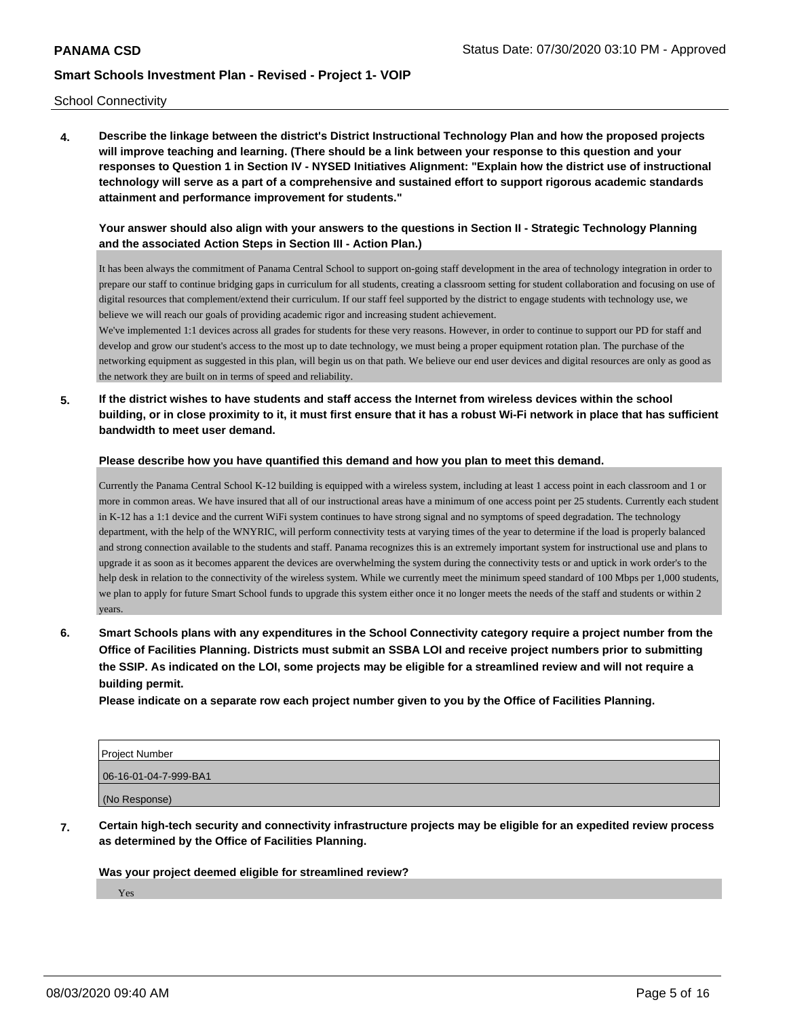School Connectivity

**4. Describe the linkage between the district's District Instructional Technology Plan and how the proposed projects will improve teaching and learning. (There should be a link between your response to this question and your responses to Question 1 in Section IV - NYSED Initiatives Alignment: "Explain how the district use of instructional technology will serve as a part of a comprehensive and sustained effort to support rigorous academic standards attainment and performance improvement for students."** 

## **Your answer should also align with your answers to the questions in Section II - Strategic Technology Planning and the associated Action Steps in Section III - Action Plan.)**

It has been always the commitment of Panama Central School to support on-going staff development in the area of technology integration in order to prepare our staff to continue bridging gaps in curriculum for all students, creating a classroom setting for student collaboration and focusing on use of digital resources that complement/extend their curriculum. If our staff feel supported by the district to engage students with technology use, we believe we will reach our goals of providing academic rigor and increasing student achievement.

We've implemented 1:1 devices across all grades for students for these very reasons. However, in order to continue to support our PD for staff and develop and grow our student's access to the most up to date technology, we must being a proper equipment rotation plan. The purchase of the networking equipment as suggested in this plan, will begin us on that path. We believe our end user devices and digital resources are only as good as the network they are built on in terms of speed and reliability.

**5. If the district wishes to have students and staff access the Internet from wireless devices within the school building, or in close proximity to it, it must first ensure that it has a robust Wi-Fi network in place that has sufficient bandwidth to meet user demand.**

### **Please describe how you have quantified this demand and how you plan to meet this demand.**

Currently the Panama Central School K-12 building is equipped with a wireless system, including at least 1 access point in each classroom and 1 or more in common areas. We have insured that all of our instructional areas have a minimum of one access point per 25 students. Currently each student in K-12 has a 1:1 device and the current WiFi system continues to have strong signal and no symptoms of speed degradation. The technology department, with the help of the WNYRIC, will perform connectivity tests at varying times of the year to determine if the load is properly balanced and strong connection available to the students and staff. Panama recognizes this is an extremely important system for instructional use and plans to upgrade it as soon as it becomes apparent the devices are overwhelming the system during the connectivity tests or and uptick in work order's to the help desk in relation to the connectivity of the wireless system. While we currently meet the minimum speed standard of 100 Mbps per 1,000 students, we plan to apply for future Smart School funds to upgrade this system either once it no longer meets the needs of the staff and students or within 2 years.

**6. Smart Schools plans with any expenditures in the School Connectivity category require a project number from the Office of Facilities Planning. Districts must submit an SSBA LOI and receive project numbers prior to submitting the SSIP. As indicated on the LOI, some projects may be eligible for a streamlined review and will not require a building permit.**

**Please indicate on a separate row each project number given to you by the Office of Facilities Planning.**

| Project Number        |
|-----------------------|
| 06-16-01-04-7-999-BA1 |
| (No Response)         |

**7. Certain high-tech security and connectivity infrastructure projects may be eligible for an expedited review process as determined by the Office of Facilities Planning.**

**Was your project deemed eligible for streamlined review?**

Yes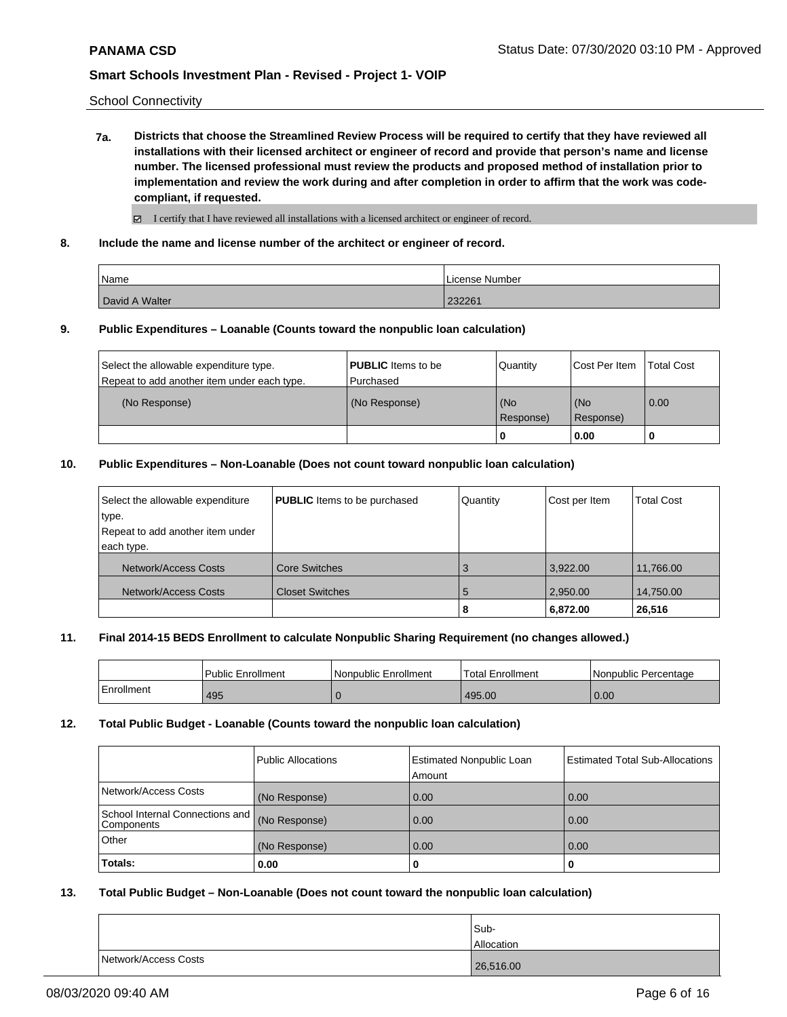School Connectivity

**7a. Districts that choose the Streamlined Review Process will be required to certify that they have reviewed all installations with their licensed architect or engineer of record and provide that person's name and license number. The licensed professional must review the products and proposed method of installation prior to implementation and review the work during and after completion in order to affirm that the work was codecompliant, if requested.**

 $\boxtimes$  I certify that I have reviewed all installations with a licensed architect or engineer of record.

**8. Include the name and license number of the architect or engineer of record.**

| Name           | License Number |
|----------------|----------------|
| David A Walter | 232261         |

### **9. Public Expenditures – Loanable (Counts toward the nonpublic loan calculation)**

|                                             |                           | 0         | 0.00          |                   |
|---------------------------------------------|---------------------------|-----------|---------------|-------------------|
|                                             |                           | Response) | Response)     |                   |
| (No Response)                               | (No Response)             | (No       | l (No         | 0.00              |
| Repeat to add another item under each type. | l Purchased               |           |               |                   |
| Select the allowable expenditure type.      | <b>PUBLIC</b> Items to be | Quantity  | Cost Per Item | <b>Total Cost</b> |

### **10. Public Expenditures – Non-Loanable (Does not count toward nonpublic loan calculation)**

| Select the allowable expenditure | <b>PUBLIC</b> Items to be purchased | Quantity | Cost per Item | <b>Total Cost</b> |
|----------------------------------|-------------------------------------|----------|---------------|-------------------|
| type.                            |                                     |          |               |                   |
| Repeat to add another item under |                                     |          |               |                   |
| each type.                       |                                     |          |               |                   |
| Network/Access Costs             | <b>Core Switches</b>                | 3        | 3.922.00      | 11.766.00         |
| Network/Access Costs             | <b>Closet Switches</b>              | 5        | 2,950.00      | 14,750.00         |
|                                  |                                     | 8        | 6,872.00      | 26,516            |

### **11. Final 2014-15 BEDS Enrollment to calculate Nonpublic Sharing Requirement (no changes allowed.)**

|            | Public Enrollment | Nonpublic Enrollment | <b>Total Enrollment</b> | Nonpublic Percentage |
|------------|-------------------|----------------------|-------------------------|----------------------|
| Enrollment | 495               |                      | 495.00                  | 0.00                 |

## **12. Total Public Budget - Loanable (Counts toward the nonpublic loan calculation)**

|                                               | Public Allocations | <b>Estimated Nonpublic Loan</b><br>l Amount | <b>Estimated Total Sub-Allocations</b> |
|-----------------------------------------------|--------------------|---------------------------------------------|----------------------------------------|
| Network/Access Costs                          | (No Response)      | 0.00                                        | 0.00                                   |
| School Internal Connections and<br>Components | (No Response)      | 0.00                                        | 0.00                                   |
| Other                                         | (No Response)      | 0.00                                        | 0.00                                   |
| Totals:                                       | 0.00               | 0                                           | 0                                      |

### **13. Total Public Budget – Non-Loanable (Does not count toward the nonpublic loan calculation)**

|                      | Sub-<br><b>Allocation</b> |
|----------------------|---------------------------|
| Network/Access Costs | 26,516.00                 |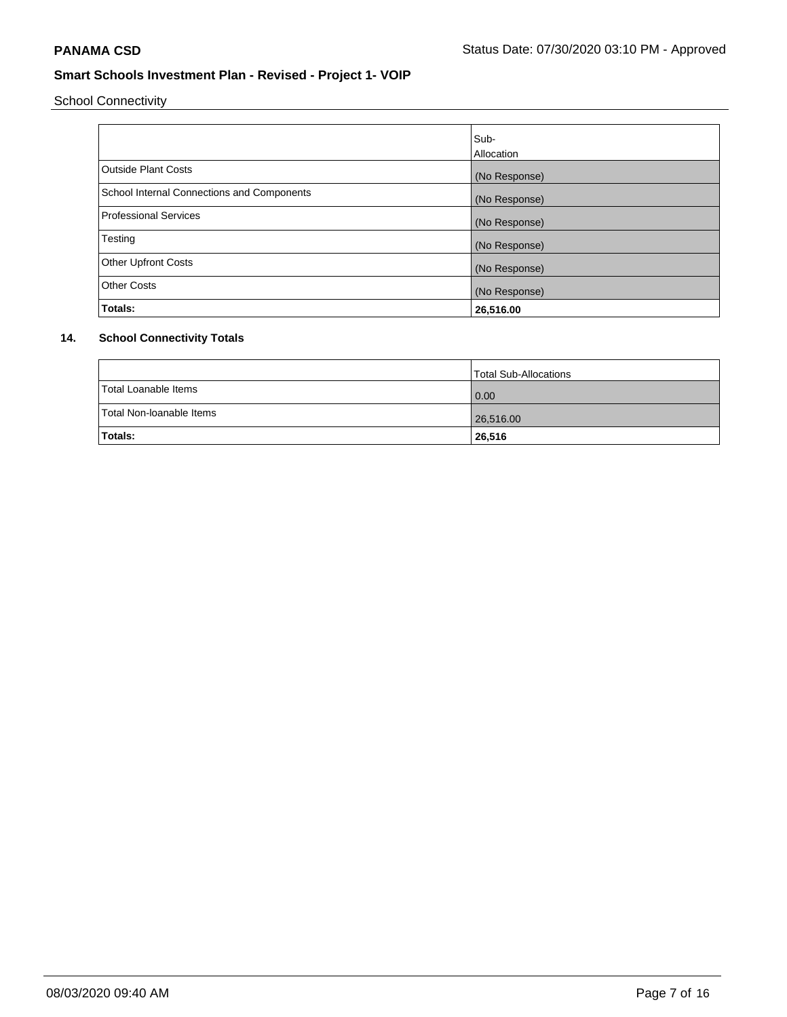School Connectivity

|                                            | Sub-<br>Allocation |
|--------------------------------------------|--------------------|
| <b>Outside Plant Costs</b>                 | (No Response)      |
| School Internal Connections and Components | (No Response)      |
| <b>Professional Services</b>               | (No Response)      |
| Testing                                    | (No Response)      |
| <b>Other Upfront Costs</b>                 | (No Response)      |
| <b>Other Costs</b>                         | (No Response)      |
| Totals:                                    | 26,516.00          |

## **14. School Connectivity Totals**

|                          | Total Sub-Allocations |
|--------------------------|-----------------------|
| Total Loanable Items     | $\overline{0.00}$     |
| Total Non-Ioanable Items | 26,516.00             |
| Totals:                  | 26,516                |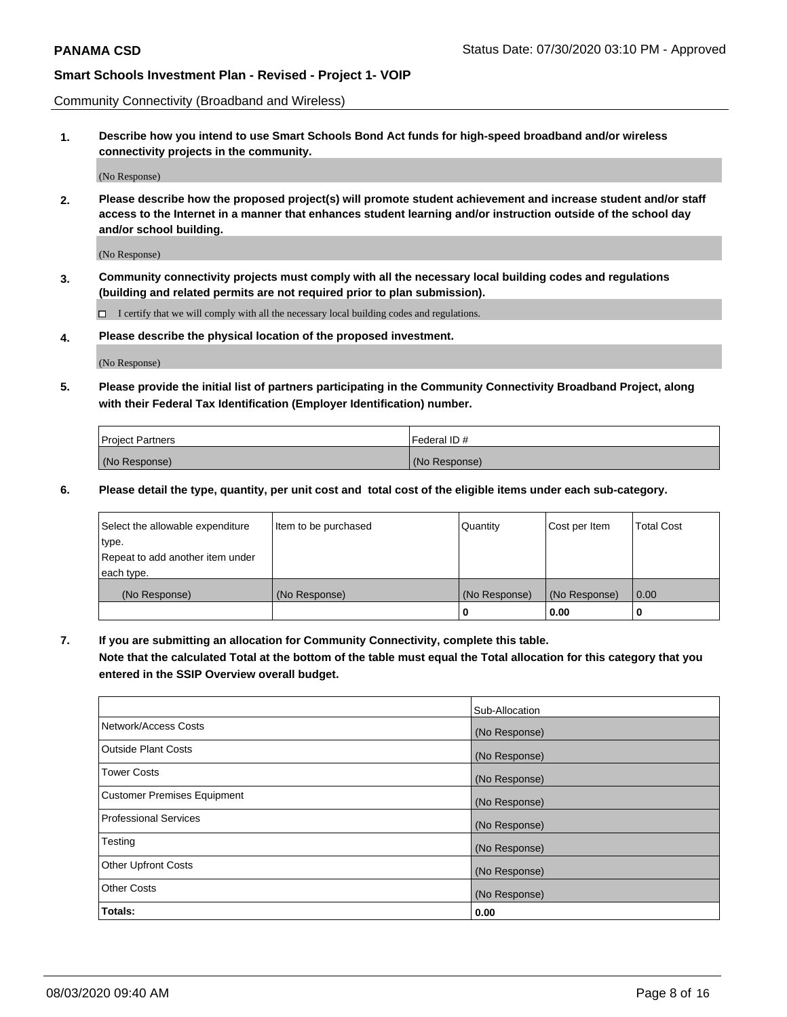Community Connectivity (Broadband and Wireless)

**1. Describe how you intend to use Smart Schools Bond Act funds for high-speed broadband and/or wireless connectivity projects in the community.**

(No Response)

**2. Please describe how the proposed project(s) will promote student achievement and increase student and/or staff access to the Internet in a manner that enhances student learning and/or instruction outside of the school day and/or school building.**

(No Response)

**3. Community connectivity projects must comply with all the necessary local building codes and regulations (building and related permits are not required prior to plan submission).**

 $\Box$  I certify that we will comply with all the necessary local building codes and regulations.

**4. Please describe the physical location of the proposed investment.**

(No Response)

**5. Please provide the initial list of partners participating in the Community Connectivity Broadband Project, along with their Federal Tax Identification (Employer Identification) number.**

| <b>Project Partners</b> | l Federal ID # |
|-------------------------|----------------|
| (No Response)           | (No Response)  |

**6. Please detail the type, quantity, per unit cost and total cost of the eligible items under each sub-category.**

| Select the allowable expenditure | Item to be purchased | Quantity      | Cost per Item | <b>Total Cost</b> |
|----------------------------------|----------------------|---------------|---------------|-------------------|
| type.                            |                      |               |               |                   |
| Repeat to add another item under |                      |               |               |                   |
| each type.                       |                      |               |               |                   |
| (No Response)                    | (No Response)        | (No Response) | (No Response) | 0.00              |
|                                  |                      | o             | 0.00          |                   |

**7. If you are submitting an allocation for Community Connectivity, complete this table.**

**Note that the calculated Total at the bottom of the table must equal the Total allocation for this category that you entered in the SSIP Overview overall budget.**

|                                    | Sub-Allocation |
|------------------------------------|----------------|
| Network/Access Costs               | (No Response)  |
| Outside Plant Costs                | (No Response)  |
| <b>Tower Costs</b>                 | (No Response)  |
| <b>Customer Premises Equipment</b> | (No Response)  |
| <b>Professional Services</b>       | (No Response)  |
| Testing                            | (No Response)  |
| <b>Other Upfront Costs</b>         | (No Response)  |
| <b>Other Costs</b>                 | (No Response)  |
| Totals:                            | 0.00           |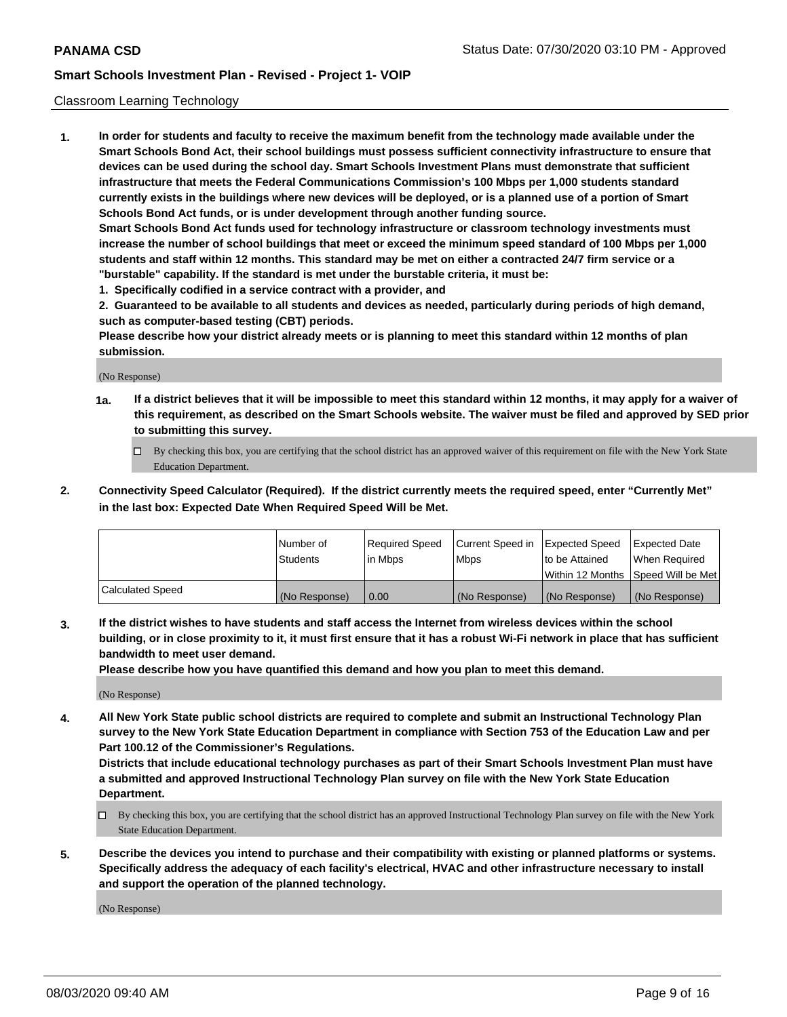## Classroom Learning Technology

**1. In order for students and faculty to receive the maximum benefit from the technology made available under the Smart Schools Bond Act, their school buildings must possess sufficient connectivity infrastructure to ensure that devices can be used during the school day. Smart Schools Investment Plans must demonstrate that sufficient infrastructure that meets the Federal Communications Commission's 100 Mbps per 1,000 students standard currently exists in the buildings where new devices will be deployed, or is a planned use of a portion of Smart Schools Bond Act funds, or is under development through another funding source. Smart Schools Bond Act funds used for technology infrastructure or classroom technology investments must increase the number of school buildings that meet or exceed the minimum speed standard of 100 Mbps per 1,000 students and staff within 12 months. This standard may be met on either a contracted 24/7 firm service or a**

**"burstable" capability. If the standard is met under the burstable criteria, it must be:**

**1. Specifically codified in a service contract with a provider, and**

**2. Guaranteed to be available to all students and devices as needed, particularly during periods of high demand, such as computer-based testing (CBT) periods.**

**Please describe how your district already meets or is planning to meet this standard within 12 months of plan submission.**

(No Response)

- **1a. If a district believes that it will be impossible to meet this standard within 12 months, it may apply for a waiver of this requirement, as described on the Smart Schools website. The waiver must be filed and approved by SED prior to submitting this survey.**
	- By checking this box, you are certifying that the school district has an approved waiver of this requirement on file with the New York State Education Department.
- **2. Connectivity Speed Calculator (Required). If the district currently meets the required speed, enter "Currently Met" in the last box: Expected Date When Required Speed Will be Met.**

|                  | l Number of     | Required Speed | Current Speed in | <b>Expected Speed</b> | <b>Expected Date</b>                |
|------------------|-----------------|----------------|------------------|-----------------------|-------------------------------------|
|                  | <b>Students</b> | l in Mbps      | l Mbps           | to be Attained        | When Required                       |
|                  |                 |                |                  |                       | Within 12 Months  Speed Will be Met |
| Calculated Speed | (No Response)   | 0.00           | (No Response)    | l (No Response)       | (No Response)                       |

**3. If the district wishes to have students and staff access the Internet from wireless devices within the school building, or in close proximity to it, it must first ensure that it has a robust Wi-Fi network in place that has sufficient bandwidth to meet user demand.**

**Please describe how you have quantified this demand and how you plan to meet this demand.**

(No Response)

**4. All New York State public school districts are required to complete and submit an Instructional Technology Plan survey to the New York State Education Department in compliance with Section 753 of the Education Law and per Part 100.12 of the Commissioner's Regulations.**

**Districts that include educational technology purchases as part of their Smart Schools Investment Plan must have a submitted and approved Instructional Technology Plan survey on file with the New York State Education Department.**

- By checking this box, you are certifying that the school district has an approved Instructional Technology Plan survey on file with the New York State Education Department.
- **5. Describe the devices you intend to purchase and their compatibility with existing or planned platforms or systems. Specifically address the adequacy of each facility's electrical, HVAC and other infrastructure necessary to install and support the operation of the planned technology.**

(No Response)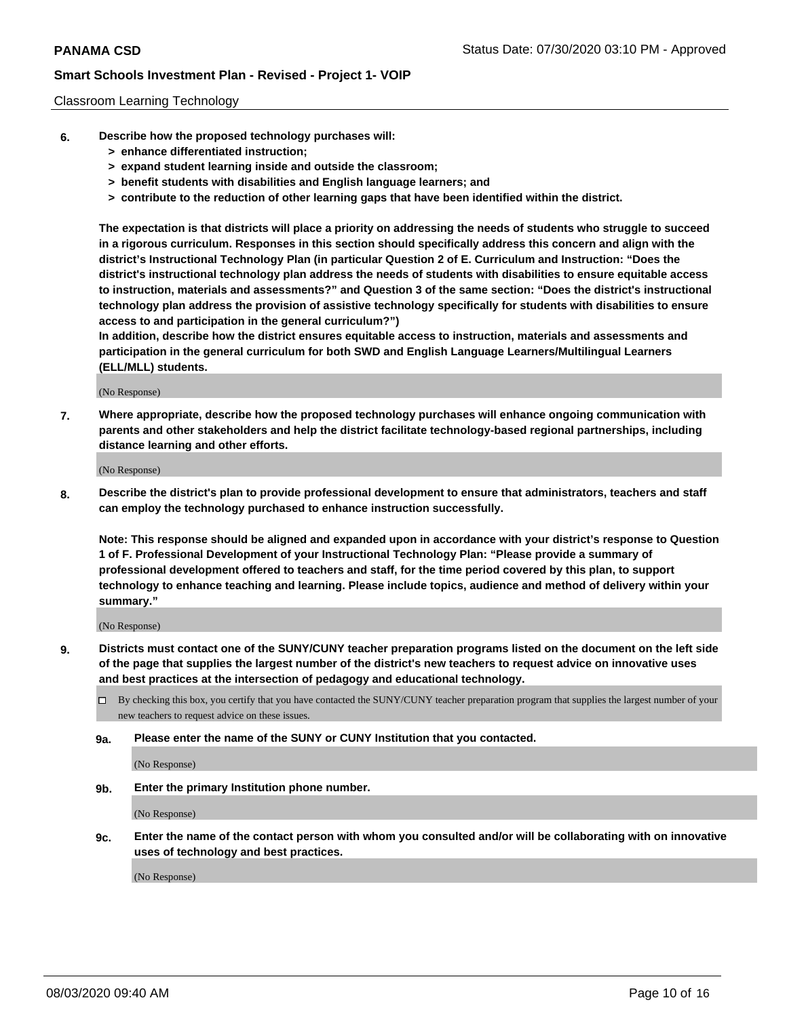### Classroom Learning Technology

- **6. Describe how the proposed technology purchases will:**
	- **> enhance differentiated instruction;**
	- **> expand student learning inside and outside the classroom;**
	- **> benefit students with disabilities and English language learners; and**
	- **> contribute to the reduction of other learning gaps that have been identified within the district.**

**The expectation is that districts will place a priority on addressing the needs of students who struggle to succeed in a rigorous curriculum. Responses in this section should specifically address this concern and align with the district's Instructional Technology Plan (in particular Question 2 of E. Curriculum and Instruction: "Does the district's instructional technology plan address the needs of students with disabilities to ensure equitable access to instruction, materials and assessments?" and Question 3 of the same section: "Does the district's instructional technology plan address the provision of assistive technology specifically for students with disabilities to ensure access to and participation in the general curriculum?")**

**In addition, describe how the district ensures equitable access to instruction, materials and assessments and participation in the general curriculum for both SWD and English Language Learners/Multilingual Learners (ELL/MLL) students.**

(No Response)

**7. Where appropriate, describe how the proposed technology purchases will enhance ongoing communication with parents and other stakeholders and help the district facilitate technology-based regional partnerships, including distance learning and other efforts.**

(No Response)

**8. Describe the district's plan to provide professional development to ensure that administrators, teachers and staff can employ the technology purchased to enhance instruction successfully.**

**Note: This response should be aligned and expanded upon in accordance with your district's response to Question 1 of F. Professional Development of your Instructional Technology Plan: "Please provide a summary of professional development offered to teachers and staff, for the time period covered by this plan, to support technology to enhance teaching and learning. Please include topics, audience and method of delivery within your summary."**

(No Response)

- **9. Districts must contact one of the SUNY/CUNY teacher preparation programs listed on the document on the left side of the page that supplies the largest number of the district's new teachers to request advice on innovative uses and best practices at the intersection of pedagogy and educational technology.**
	- By checking this box, you certify that you have contacted the SUNY/CUNY teacher preparation program that supplies the largest number of your new teachers to request advice on these issues.
	- **9a. Please enter the name of the SUNY or CUNY Institution that you contacted.**

(No Response)

**9b. Enter the primary Institution phone number.**

(No Response)

**9c. Enter the name of the contact person with whom you consulted and/or will be collaborating with on innovative uses of technology and best practices.**

(No Response)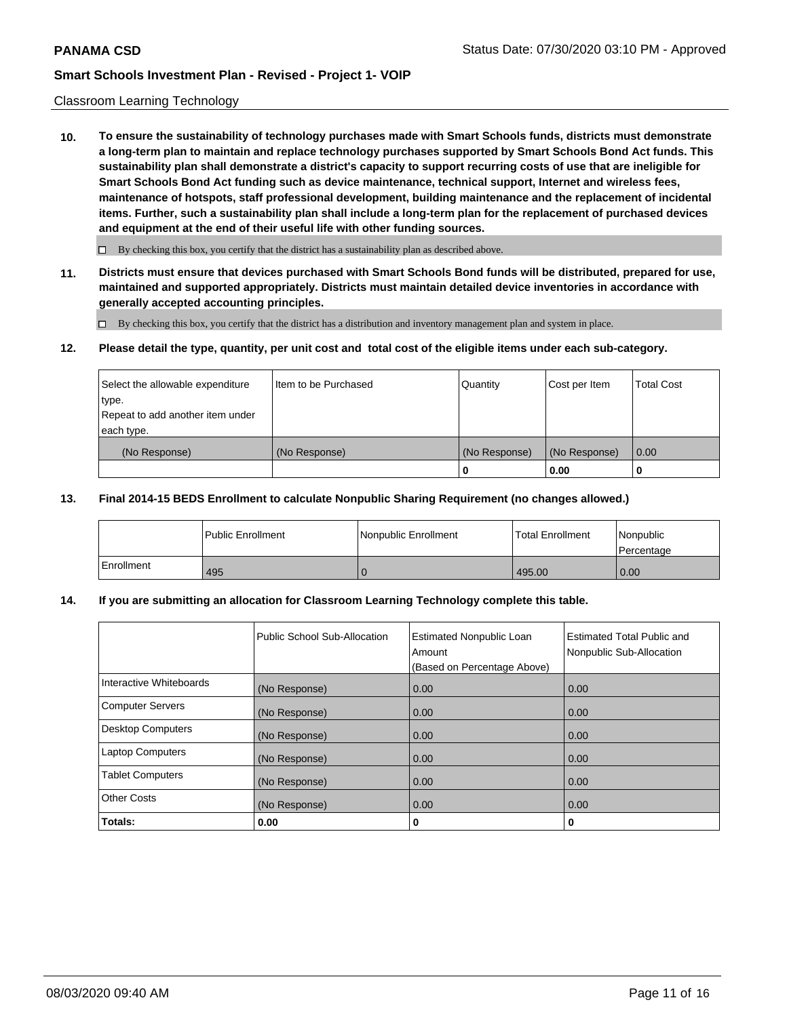### Classroom Learning Technology

**10. To ensure the sustainability of technology purchases made with Smart Schools funds, districts must demonstrate a long-term plan to maintain and replace technology purchases supported by Smart Schools Bond Act funds. This sustainability plan shall demonstrate a district's capacity to support recurring costs of use that are ineligible for Smart Schools Bond Act funding such as device maintenance, technical support, Internet and wireless fees, maintenance of hotspots, staff professional development, building maintenance and the replacement of incidental items. Further, such a sustainability plan shall include a long-term plan for the replacement of purchased devices and equipment at the end of their useful life with other funding sources.**

 $\Box$  By checking this box, you certify that the district has a sustainability plan as described above.

**11. Districts must ensure that devices purchased with Smart Schools Bond funds will be distributed, prepared for use, maintained and supported appropriately. Districts must maintain detailed device inventories in accordance with generally accepted accounting principles.**

By checking this box, you certify that the district has a distribution and inventory management plan and system in place.

### **12. Please detail the type, quantity, per unit cost and total cost of the eligible items under each sub-category.**

| Select the allowable expenditure<br>type.<br>Repeat to add another item under | Item to be Purchased | Quantity      | Cost per Item | <b>Total Cost</b> |
|-------------------------------------------------------------------------------|----------------------|---------------|---------------|-------------------|
| each type.<br>(No Response)                                                   | (No Response)        | (No Response) | (No Response) | 0.00              |
|                                                                               |                      | 0             | 0.00          |                   |

### **13. Final 2014-15 BEDS Enrollment to calculate Nonpublic Sharing Requirement (no changes allowed.)**

|            | <b>Public Enrollment</b> | Nonpublic Enrollment | <b>Total Enrollment</b> | Nonpublic<br>l Percentage |
|------------|--------------------------|----------------------|-------------------------|---------------------------|
| Enrollment | 495                      |                      | 495.00                  | 0.00                      |

## **14. If you are submitting an allocation for Classroom Learning Technology complete this table.**

|                         | Public School Sub-Allocation | <b>Estimated Nonpublic Loan</b><br>Amount<br>(Based on Percentage Above) | Estimated Total Public and<br>Nonpublic Sub-Allocation |
|-------------------------|------------------------------|--------------------------------------------------------------------------|--------------------------------------------------------|
| Interactive Whiteboards | (No Response)                | 0.00                                                                     | 0.00                                                   |
| Computer Servers        | (No Response)                | 0.00                                                                     | 0.00                                                   |
| Desktop Computers       | (No Response)                | 0.00                                                                     | 0.00                                                   |
| <b>Laptop Computers</b> | (No Response)                | 0.00                                                                     | 0.00                                                   |
| <b>Tablet Computers</b> | (No Response)                | 0.00                                                                     | 0.00                                                   |
| Other Costs             | (No Response)                | 0.00                                                                     | 0.00                                                   |
| Totals:                 | 0.00                         | 0                                                                        | 0                                                      |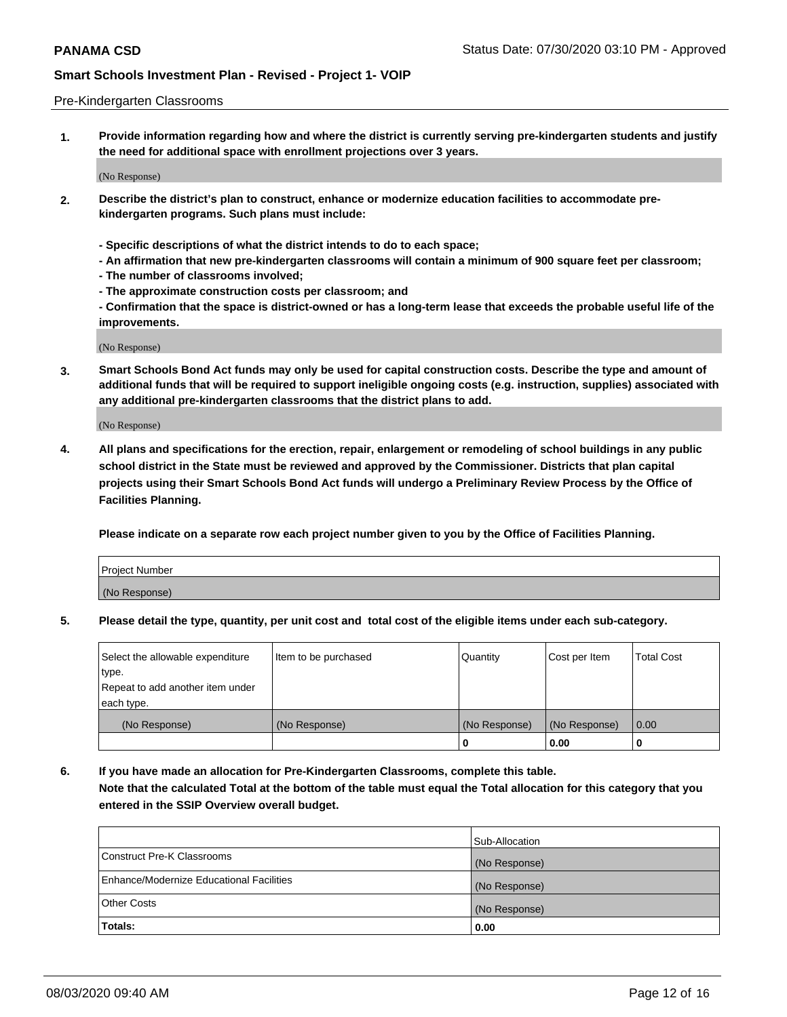### Pre-Kindergarten Classrooms

**1. Provide information regarding how and where the district is currently serving pre-kindergarten students and justify the need for additional space with enrollment projections over 3 years.**

(No Response)

- **2. Describe the district's plan to construct, enhance or modernize education facilities to accommodate prekindergarten programs. Such plans must include:**
	- **Specific descriptions of what the district intends to do to each space;**
	- **An affirmation that new pre-kindergarten classrooms will contain a minimum of 900 square feet per classroom;**
	- **The number of classrooms involved;**
	- **The approximate construction costs per classroom; and**
	- **Confirmation that the space is district-owned or has a long-term lease that exceeds the probable useful life of the improvements.**

(No Response)

**3. Smart Schools Bond Act funds may only be used for capital construction costs. Describe the type and amount of additional funds that will be required to support ineligible ongoing costs (e.g. instruction, supplies) associated with any additional pre-kindergarten classrooms that the district plans to add.**

(No Response)

**4. All plans and specifications for the erection, repair, enlargement or remodeling of school buildings in any public school district in the State must be reviewed and approved by the Commissioner. Districts that plan capital projects using their Smart Schools Bond Act funds will undergo a Preliminary Review Process by the Office of Facilities Planning.**

**Please indicate on a separate row each project number given to you by the Office of Facilities Planning.**

| Project Number |  |
|----------------|--|
| (No Response)  |  |
|                |  |

**5. Please detail the type, quantity, per unit cost and total cost of the eligible items under each sub-category.**

| Select the allowable expenditure | Item to be purchased | Quantity      | Cost per Item | <b>Total Cost</b> |
|----------------------------------|----------------------|---------------|---------------|-------------------|
| type.                            |                      |               |               |                   |
| Repeat to add another item under |                      |               |               |                   |
| each type.                       |                      |               |               |                   |
| (No Response)                    | (No Response)        | (No Response) | (No Response) | 0.00              |
|                                  |                      | U             | 0.00          |                   |

**6. If you have made an allocation for Pre-Kindergarten Classrooms, complete this table. Note that the calculated Total at the bottom of the table must equal the Total allocation for this category that you entered in the SSIP Overview overall budget.**

| Totals:                                  | 0.00           |
|------------------------------------------|----------------|
| <b>Other Costs</b>                       | (No Response)  |
| Enhance/Modernize Educational Facilities | (No Response)  |
| Construct Pre-K Classrooms               | (No Response)  |
|                                          | Sub-Allocation |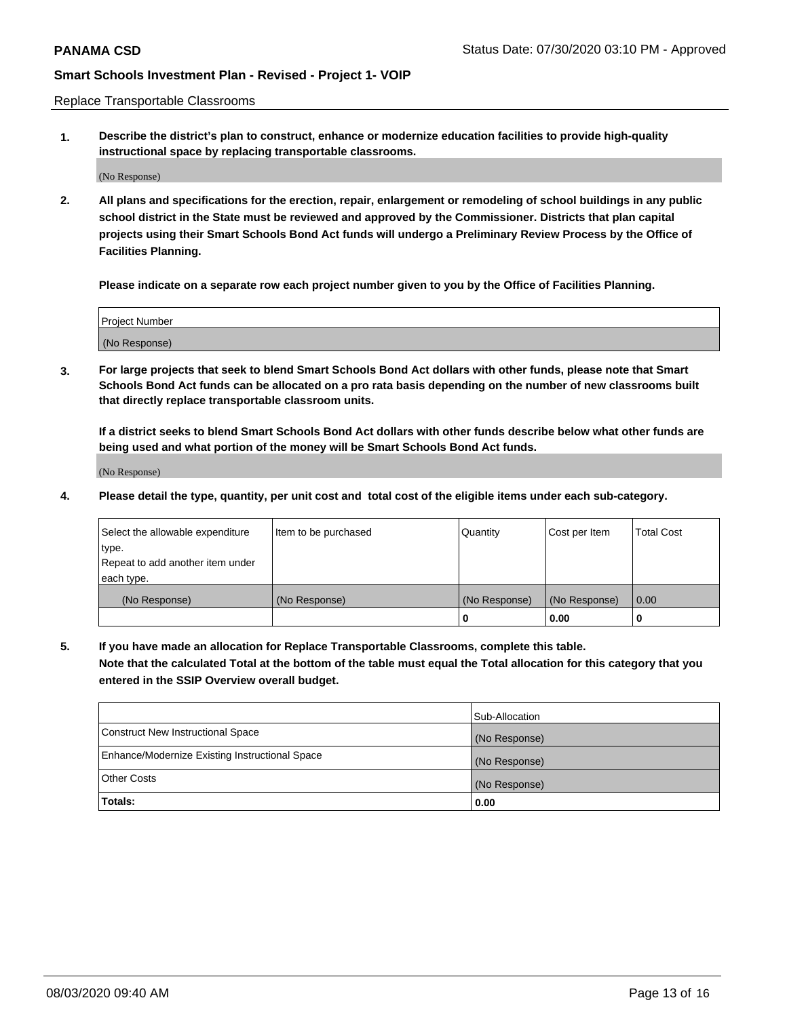Replace Transportable Classrooms

**1. Describe the district's plan to construct, enhance or modernize education facilities to provide high-quality instructional space by replacing transportable classrooms.**

(No Response)

**2. All plans and specifications for the erection, repair, enlargement or remodeling of school buildings in any public school district in the State must be reviewed and approved by the Commissioner. Districts that plan capital projects using their Smart Schools Bond Act funds will undergo a Preliminary Review Process by the Office of Facilities Planning.**

**Please indicate on a separate row each project number given to you by the Office of Facilities Planning.**

| Project Number |  |
|----------------|--|
|                |  |
|                |  |
|                |  |
| (No Response)  |  |
|                |  |
|                |  |

**3. For large projects that seek to blend Smart Schools Bond Act dollars with other funds, please note that Smart Schools Bond Act funds can be allocated on a pro rata basis depending on the number of new classrooms built that directly replace transportable classroom units.**

**If a district seeks to blend Smart Schools Bond Act dollars with other funds describe below what other funds are being used and what portion of the money will be Smart Schools Bond Act funds.**

(No Response)

**4. Please detail the type, quantity, per unit cost and total cost of the eligible items under each sub-category.**

| Select the allowable expenditure | Item to be purchased | Quantity      | Cost per Item | Total Cost |
|----------------------------------|----------------------|---------------|---------------|------------|
| ∣type.                           |                      |               |               |            |
| Repeat to add another item under |                      |               |               |            |
| each type.                       |                      |               |               |            |
| (No Response)                    | (No Response)        | (No Response) | (No Response) | 0.00       |
|                                  |                      | u             | 0.00          |            |

**5. If you have made an allocation for Replace Transportable Classrooms, complete this table. Note that the calculated Total at the bottom of the table must equal the Total allocation for this category that you entered in the SSIP Overview overall budget.**

|                                                | Sub-Allocation |
|------------------------------------------------|----------------|
| Construct New Instructional Space              | (No Response)  |
| Enhance/Modernize Existing Instructional Space | (No Response)  |
| Other Costs                                    | (No Response)  |
| Totals:                                        | 0.00           |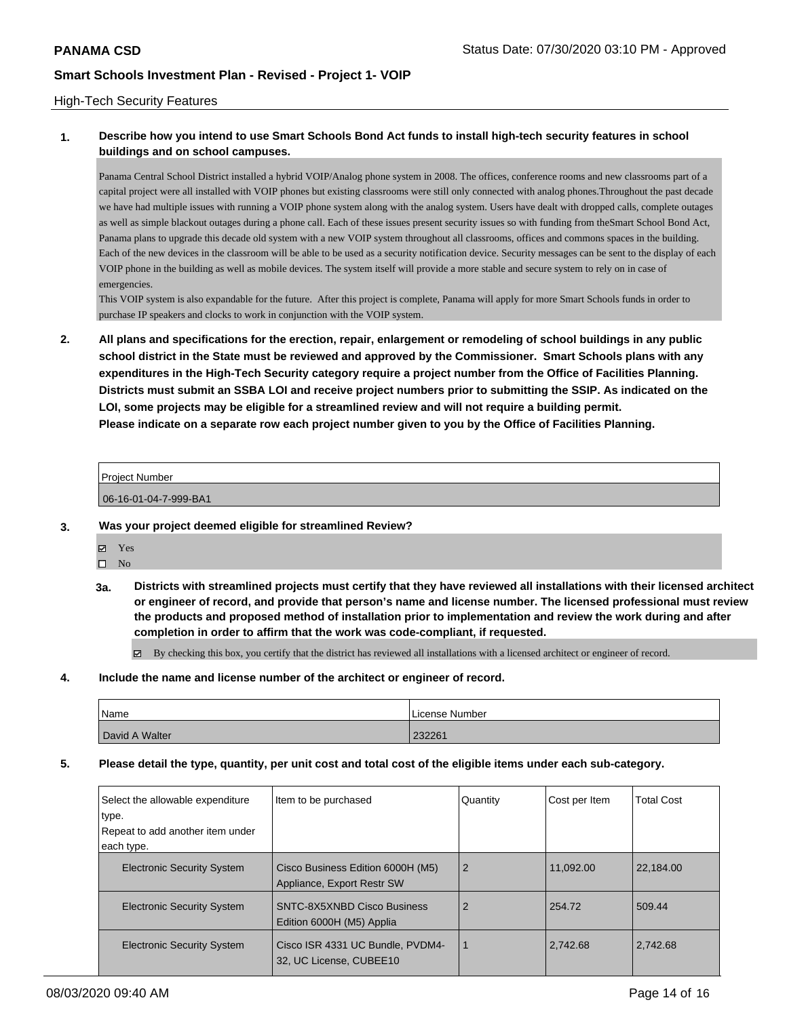### High-Tech Security Features

## **1. Describe how you intend to use Smart Schools Bond Act funds to install high-tech security features in school buildings and on school campuses.**

Panama Central School District installed a hybrid VOIP/Analog phone system in 2008. The offices, conference rooms and new classrooms part of a capital project were all installed with VOIP phones but existing classrooms were still only connected with analog phones.Throughout the past decade we have had multiple issues with running a VOIP phone system along with the analog system. Users have dealt with dropped calls, complete outages as well as simple blackout outages during a phone call. Each of these issues present security issues so with funding from theSmart School Bond Act, Panama plans to upgrade this decade old system with a new VOIP system throughout all classrooms, offices and commons spaces in the building. Each of the new devices in the classroom will be able to be used as a security notification device. Security messages can be sent to the display of each VOIP phone in the building as well as mobile devices. The system itself will provide a more stable and secure system to rely on in case of emergencies.

This VOIP system is also expandable for the future. After this project is complete, Panama will apply for more Smart Schools funds in order to purchase IP speakers and clocks to work in conjunction with the VOIP system.

**2. All plans and specifications for the erection, repair, enlargement or remodeling of school buildings in any public school district in the State must be reviewed and approved by the Commissioner. Smart Schools plans with any expenditures in the High-Tech Security category require a project number from the Office of Facilities Planning. Districts must submit an SSBA LOI and receive project numbers prior to submitting the SSIP. As indicated on the LOI, some projects may be eligible for a streamlined review and will not require a building permit. Please indicate on a separate row each project number given to you by the Office of Facilities Planning.**

### Project Number

06-16-01-04-7-999-BA1

### **3. Was your project deemed eligible for streamlined Review?**

- Yes  $\square$  No
- **3a. Districts with streamlined projects must certify that they have reviewed all installations with their licensed architect or engineer of record, and provide that person's name and license number. The licensed professional must review the products and proposed method of installation prior to implementation and review the work during and after completion in order to affirm that the work was code-compliant, if requested.**

By checking this box, you certify that the district has reviewed all installations with a licensed architect or engineer of record.

**4. Include the name and license number of the architect or engineer of record.**

| Name           | License Number |
|----------------|----------------|
| David A Walter | 232261         |

### **5. Please detail the type, quantity, per unit cost and total cost of the eligible items under each sub-category.**

| Select the allowable expenditure<br>type.<br>Repeat to add another item under<br>each type. | Item to be purchased                                            | Quantity | Cost per Item | <b>Total Cost</b> |
|---------------------------------------------------------------------------------------------|-----------------------------------------------------------------|----------|---------------|-------------------|
| <b>Electronic Security System</b>                                                           | Cisco Business Edition 6000H (M5)<br>Appliance, Export Restr SW | 2        | 11,092.00     | 22,184.00         |
| <b>Electronic Security System</b>                                                           | SNTC-8X5XNBD Cisco Business<br>Edition 6000H (M5) Applia        | 2        | 254.72        | 509.44            |
| <b>Electronic Security System</b>                                                           | Cisco ISR 4331 UC Bundle, PVDM4-<br>32, UC License, CUBEE10     |          | 2.742.68      | 2,742.68          |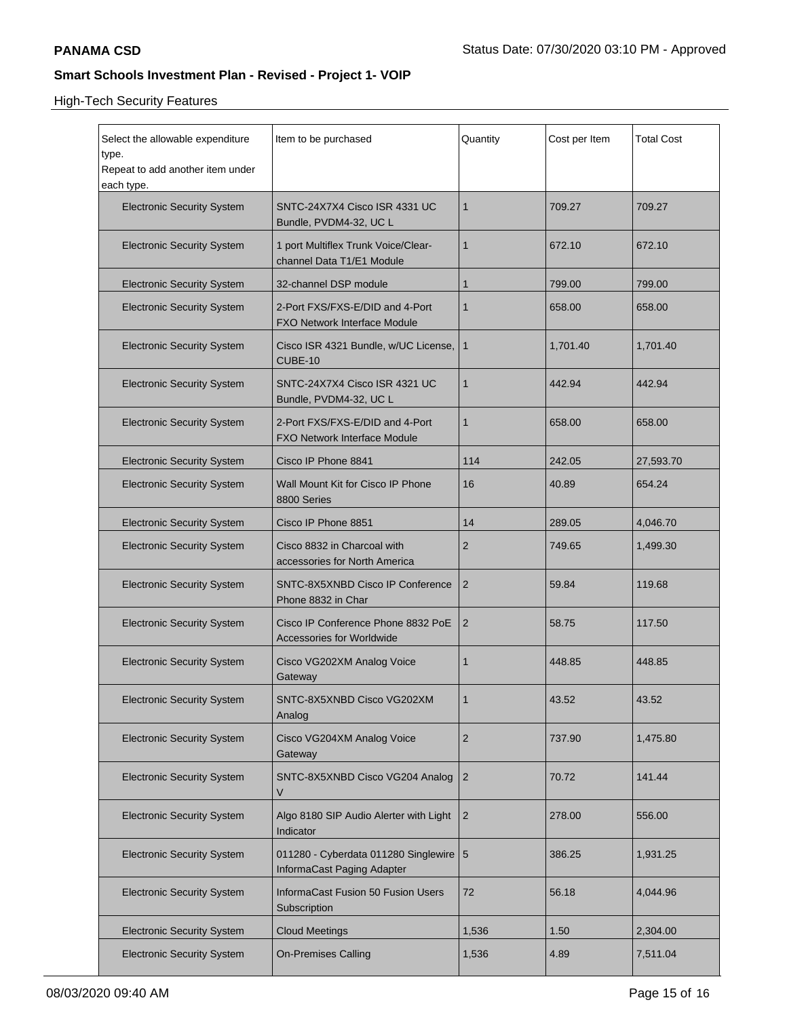High-Tech Security Features

| Select the allowable expenditure<br>type.      | Item to be purchased                                                   | Quantity       | Cost per Item | <b>Total Cost</b> |
|------------------------------------------------|------------------------------------------------------------------------|----------------|---------------|-------------------|
| Repeat to add another item under<br>each type. |                                                                        |                |               |                   |
| <b>Electronic Security System</b>              | SNTC-24X7X4 Cisco ISR 4331 UC<br>Bundle, PVDM4-32, UC L                | 1              | 709.27        | 709.27            |
| <b>Electronic Security System</b>              | 1 port Multiflex Trunk Voice/Clear-<br>channel Data T1/E1 Module       | 1              | 672.10        | 672.10            |
| <b>Electronic Security System</b>              | 32-channel DSP module                                                  | 1              | 799.00        | 799.00            |
| <b>Electronic Security System</b>              | 2-Port FXS/FXS-E/DID and 4-Port<br><b>FXO Network Interface Module</b> | 1              | 658.00        | 658.00            |
| <b>Electronic Security System</b>              | Cisco ISR 4321 Bundle, w/UC License,<br>CUBE-10                        | 1              | 1,701.40      | 1,701.40          |
| <b>Electronic Security System</b>              | SNTC-24X7X4 Cisco ISR 4321 UC<br>Bundle, PVDM4-32, UC L                | 1              | 442.94        | 442.94            |
| <b>Electronic Security System</b>              | 2-Port FXS/FXS-E/DID and 4-Port<br><b>FXO Network Interface Module</b> | 1              | 658.00        | 658.00            |
| <b>Electronic Security System</b>              | Cisco IP Phone 8841                                                    | 114            | 242.05        | 27,593.70         |
| <b>Electronic Security System</b>              | Wall Mount Kit for Cisco IP Phone<br>8800 Series                       | 16             | 40.89         | 654.24            |
| <b>Electronic Security System</b>              | Cisco IP Phone 8851                                                    | 14             | 289.05        | 4,046.70          |
| <b>Electronic Security System</b>              | Cisco 8832 in Charcoal with<br>accessories for North America           | 2              | 749.65        | 1,499.30          |
| <b>Electronic Security System</b>              | SNTC-8X5XNBD Cisco IP Conference<br>Phone 8832 in Char                 | $\overline{2}$ | 59.84         | 119.68            |
| <b>Electronic Security System</b>              | Cisco IP Conference Phone 8832 PoE<br><b>Accessories for Worldwide</b> | 2              | 58.75         | 117.50            |
| <b>Electronic Security System</b>              | Cisco VG202XM Analog Voice<br>Gateway                                  | 1              | 448.85        | 448.85            |
| <b>Electronic Security System</b>              | SNTC-8X5XNBD Cisco VG202XM<br>Analog                                   |                | 43.52         | 43.52             |
| <b>Electronic Security System</b>              | Cisco VG204XM Analog Voice<br>Gateway                                  | 2              | 737.90        | 1,475.80          |
| <b>Electronic Security System</b>              | SNTC-8X5XNBD Cisco VG204 Analog<br>V                                   | 2              | 70.72         | 141.44            |
| <b>Electronic Security System</b>              | Algo 8180 SIP Audio Alerter with Light<br>Indicator                    | 2              | 278.00        | 556.00            |
| <b>Electronic Security System</b>              | 011280 - Cyberdata 011280 Singlewire   5<br>InformaCast Paging Adapter |                | 386.25        | 1,931.25          |
| <b>Electronic Security System</b>              | InformaCast Fusion 50 Fusion Users<br>Subscription                     | 72             | 56.18         | 4,044.96          |
| <b>Electronic Security System</b>              | <b>Cloud Meetings</b>                                                  | 1,536          | 1.50          | 2,304.00          |
| <b>Electronic Security System</b>              | <b>On-Premises Calling</b>                                             | 1,536          | 4.89          | 7,511.04          |